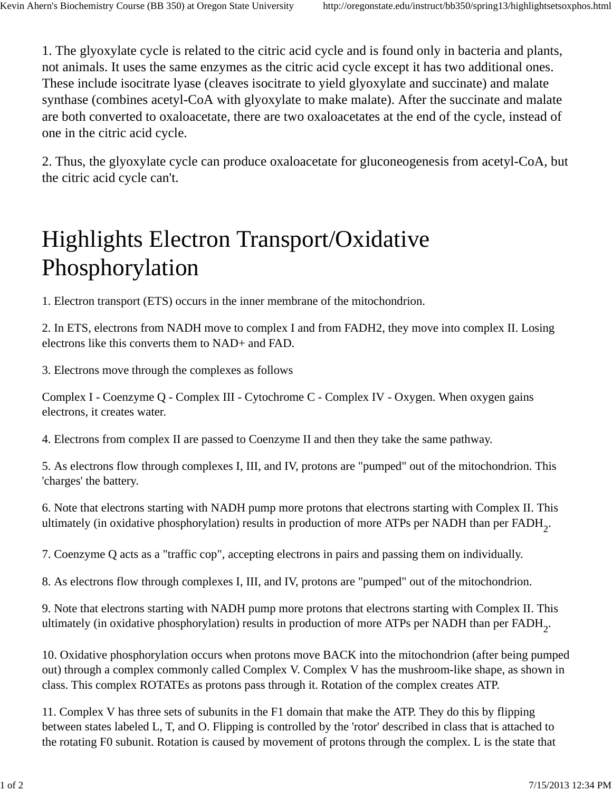1. The glyoxylate cycle is related to the citric acid cycle and is found only in bacteria and plants, not animals. It uses the same enzymes as the citric acid cycle except it has two additional ones. These include isocitrate lyase (cleaves isocitrate to yield glyoxylate and succinate) and malate synthase (combines acetyl-CoA with glyoxylate to make malate). After the succinate and malate are both converted to oxaloacetate, there are two oxaloacetates at the end of the cycle, instead of one in the citric acid cycle.

2. Thus, the glyoxylate cycle can produce oxaloacetate for gluconeogenesis from acetyl-CoA, but the citric acid cycle can't.

## Highlights Electron Transport/Oxidative Phosphorylation

1. Electron transport (ETS) occurs in the inner membrane of the mitochondrion.

2. In ETS, electrons from NADH move to complex I and from FADH2, they move into complex II. Losing electrons like this converts them to NAD+ and FAD.

3. Electrons move through the complexes as follows

Complex I - Coenzyme Q - Complex III - Cytochrome C - Complex IV - Oxygen. When oxygen gains electrons, it creates water.

4. Electrons from complex II are passed to Coenzyme II and then they take the same pathway.

5. As electrons flow through complexes I, III, and IV, protons are "pumped" out of the mitochondrion. This 'charges' the battery.

6. Note that electrons starting with NADH pump more protons that electrons starting with Complex II. This ultimately (in oxidative phosphorylation) results in production of more ATPs per NADH than per FADH<sub>2</sub>.

7. Coenzyme Q acts as a "traffic cop", accepting electrons in pairs and passing them on individually.

8. As electrons flow through complexes I, III, and IV, protons are "pumped" out of the mitochondrion.

9. Note that electrons starting with NADH pump more protons that electrons starting with Complex II. This ultimately (in oxidative phosphorylation) results in production of more ATPs per NADH than per FADH<sub>2</sub>.

10. Oxidative phosphorylation occurs when protons move BACK into the mitochondrion (after being pumped out) through a complex commonly called Complex V. Complex V has the mushroom-like shape, as shown in class. This complex ROTATEs as protons pass through it. Rotation of the complex creates ATP.

11. Complex V has three sets of subunits in the F1 domain that make the ATP. They do this by flipping between states labeled L, T, and O. Flipping is controlled by the 'rotor' described in class that is attached to the rotating F0 subunit. Rotation is caused by movement of protons through the complex. L is the state that